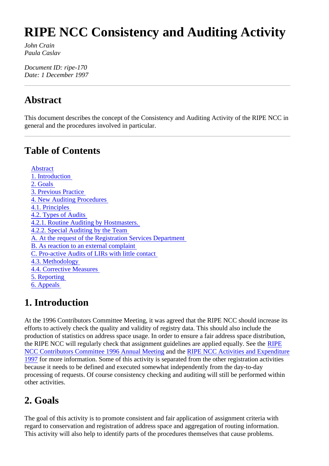# **RIPE NCC Consistency and Auditing Activity**

*John Crain Paula Caslav*

*Document ID: ripe-170 Date: 1 December 1997*

#### **Abstract**

This document describes the concept of the Consistency and Auditing Activity of the RIPE NCC in general and the procedures involved in particular.

### **Table of Contents**

 Abstract 1. Introduction 2. Goals 3. Previous Practice 4. New Auditing Procedures 4.1. Principles 4.2. Types of Audits 4.2.1. Routine Auditing by Hostmasters. 4.2.2. Special Auditing by the Team A. At the request of the Registration Services Department B. As reaction to an external complaint C. Pro-active Audits of LIRs with little contact 4.3. Methodology 4.4. Corrective Measures 5. Reporting 6. Appeals

### **1. Introduction**

At the 1996 Contributors Committee Meeting, it was agreed that the RIPE NCC should increase its efforts to actively check the quality and validity of registry data. This should also include the production of statistics on address space usage. In order to ensure a fair address space distribution, the RIPE NCC will regularly check that assignment guidelines are applied equally. See the RIPE NCC Contributors Committee 1996 Annual Meeting and the RIPE NCC Activities and Expenditure 1997 for more information. Some of this activity is separated from the other registration activities because it needs to be defined and executed somewhat independently from the day-to-day processing of requests. Of course consistency checking and auditing will still be performed within other activities.

# **2. Goals**

The goal of this activity is to promote consistent and fair application of assignment criteria with regard to conservation and registration of address space and aggregation of routing information. This activity will also help to identify parts of the procedures themselves that cause problems.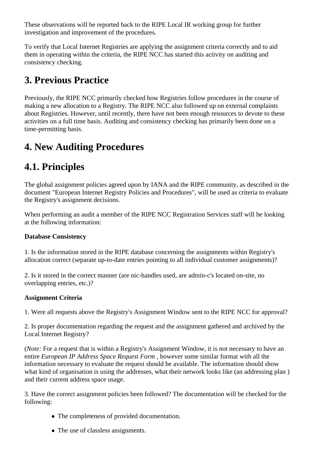These observations will be reported back to the RIPE Local IR working group for further investigation and improvement of the procedures.

To verify that Local Internet Registries are applying the assignment criteria correctly and to aid them in operating within the criteria, the RIPE NCC has started this activity on auditing and consistency checking.

# **3. Previous Practice**

Previously, the RIPE NCC primarily checked how Registries follow procedures in the course of making a new allocation to a Registry. The RIPE NCC also followed up on external complaints about Registries. However, until recently, there have not been enough resources to devote to these activities on a full time basis. Auditing and consistency checking has primarily been done on a time-permitting basis.

# **4. New Auditing Procedures**

# **4.1. Principles**

The global assignment policies agreed upon by IANA and the RIPE community, as described in the document "European Internet Registry Policies and Procedures", will be used as criteria to evaluate the Registry's assignment decisions.

When performing an audit a member of the RIPE NCC Registration Services staff will be looking at the following information:

#### **Database Consistency**

1. Is the information stored in the RIPE database concerning the assignments within Registry's allocation correct (separate up-to-date entries pointing to all individual customer assignments)?

2. Is it stored in the correct manner (are nic-handles used, are admin-c's located on-site, no overlapping entries, etc.)?

#### **Assignment Criteria**

1. Were all requests above the Registry's Assignment Window sent to the RIPE NCC for approval?

2. Is proper documentation regarding the request and the assignment gathered and archived by the Local Internet Registry?

(*Note:* For a request that is within a Registry's Assignment Window, it is not necessary to have an entire *European IP Address Space Request Form* , however some similar format with all the information necessary to evaluate the request should be available. The information should show what kind of organisation is using the addresses, what their network looks like (an addressing plan ) and their current address space usage.

3. Have the correct assignment policies been followed? The documentation will be checked for the following:

- The completeness of provided documentation.
- The use of classless assignments.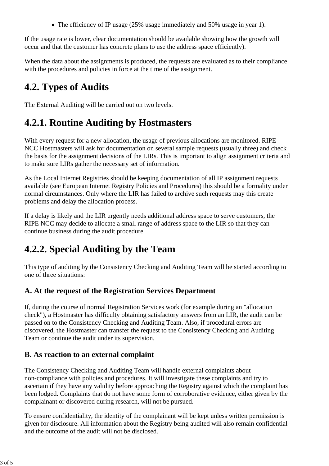• The efficiency of IP usage (25% usage immediately and 50% usage in year 1).

If the usage rate is lower, clear documentation should be available showing how the growth will occur and that the customer has concrete plans to use the address space efficiently).

When the data about the assignments is produced, the requests are evaluated as to their compliance with the procedures and policies in force at the time of the assignment.

# **4.2. Types of Audits**

The External Auditing will be carried out on two levels.

### **4.2.1. Routine Auditing by Hostmasters**

With every request for a new allocation, the usage of previous allocations are monitored. RIPE NCC Hostmasters will ask for documentation on several sample requests (usually three) and check the basis for the assignment decisions of the LIRs. This is important to align assignment criteria and to make sure LIRs gather the necessary set of information.

As the Local Internet Registries should be keeping documentation of all IP assignment requests available (see European Internet Registry Policies and Procedures) this should be a formality under normal circumstances. Only where the LIR has failed to archive such requests may this create problems and delay the allocation process.

If a delay is likely and the LIR urgently needs additional address space to serve customers, the RIPE NCC may decide to allocate a small range of address space to the LIR so that they can continue business during the audit procedure.

# **4.2.2. Special Auditing by the Team**

This type of auditing by the Consistency Checking and Auditing Team will be started according to one of three situations:

#### **A. At the request of the Registration Services Department**

If, during the course of normal Registration Services work (for example during an "allocation check"), a Hostmaster has difficulty obtaining satisfactory answers from an LIR, the audit can be passed on to the Consistency Checking and Auditing Team. Also, if procedural errors are discovered, the Hostmaster can transfer the request to the Consistency Checking and Auditing Team or continue the audit under its supervision.

#### **B. As reaction to an external complaint**

The Consistency Checking and Auditing Team will handle external complaints about non-compliance with policies and procedures. It will investigate these complaints and try to ascertain if they have any validity before approaching the Registry against which the complaint has been lodged. Complaints that do not have some form of corroborative evidence, either given by the complainant or discovered during research, will not be pursued.

To ensure confidentiality, the identity of the complainant will be kept unless written permission is given for disclosure. All information about the Registry being audited will also remain confidential and the outcome of the audit will not be disclosed.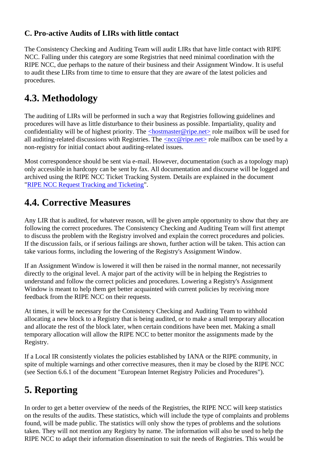#### **C. Pro-active Audits of LIRs with little contact**

The Consistency Checking and Auditing Team will audit LIRs that have little contact with RIPE NCC. Falling under this category are some Registries that need minimal coordination with the RIPE NCC, due perhaps to the nature of their business and their Assignment Window. It is useful to audit these LIRs from time to time to ensure that they are aware of the latest policies and procedures.

### **4.3. Methodology**

The auditing of LIRs will be performed in such a way that Registries following guidelines and procedures will have as little disturbance to their business as possible. Impartiality, quality and confidentiality will be of highest priority. The  $\langle$ hostmaster@ripe.net $\rangle$  role mailbox will be used for all auditing-related discussions with Registries. The  $\langle$ ncc@ripe.net $\rangle$  role mailbox can be used by a non-registry for initial contact about auditing-related issues.

Most correspondence should be sent via e-mail. However, documentation (such as a topology map) only accessible in hardcopy can be sent by fax. All documentation and discourse will be logged and archived using the RIPE NCC Ticket Tracking System. Details are explained in the document "RIPE NCC Request Tracking and Ticketing".

#### **4.4. Corrective Measures**

Any LIR that is audited, for whatever reason, will be given ample opportunity to show that they are following the correct procedures. The Consistency Checking and Auditing Team will first attempt to discuss the problem with the Registry involved and explain the correct procedures and policies. If the discussion fails, or if serious failings are shown, further action will be taken. This action can take various forms, including the lowering of the Registry's Assignment Window.

If an Assignment Window is lowered it will then be raised in the normal manner, not necessarily directly to the original level. A major part of the activity will be in helping the Registries to understand and follow the correct policies and procedures. Lowering a Registry's Assignment Window is meant to help them get better acquainted with current policies by receiving more feedback from the RIPE NCC on their requests.

At times, it will be necessary for the Consistency Checking and Auditing Team to withhold allocating a new block to a Registry that is being audited, or to make a small temporary allocation and allocate the rest of the block later, when certain conditions have been met. Making a small temporary allocation will allow the RIPE NCC to better monitor the assignments made by the Registry.

If a Local IR consistently violates the policies established by IANA or the RIPE community, in spite of multiple warnings and other corrective measures, then it may be closed by the RIPE NCC (see Section 6.6.1 of the document "European Internet Registry Policies and Procedures").

### **5. Reporting**

In order to get a better overview of the needs of the Registries, the RIPE NCC will keep statistics on the results of the audits. These statistics, which will include the type of complaints and problems found, will be made public. The statistics will only show the types of problems and the solutions taken. They will not mention any Registry by name. The information will also be used to help the RIPE NCC to adapt their information dissemination to suit the needs of Registries. This would be